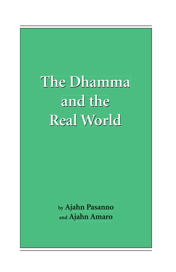# **The Dhamma The Dhamma and the and the Real World Real World**

**by Ajahn Pasanno and Ajahn Amaro**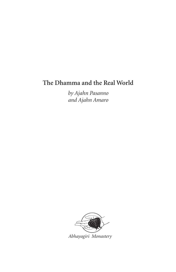# **The Dhamma and the Real World**

*by Ajahn Pasanno and Ajahn Amaro*



*Abhayagiri Monastery*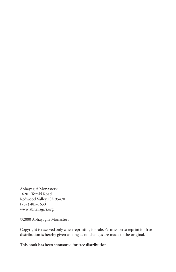Abhayagiri Monastery 16201 Tomki Road Redwood Valley, CA 95470 (707) 485-1630 www.abhayagiri.org

©2000 Abhayagiri Monastery

Copyright is reserved only when reprinting for sale. Permission to reprint for free distribution is hereby given as long as no changes are made to the original.

**This book has been sponsored for free distribution.**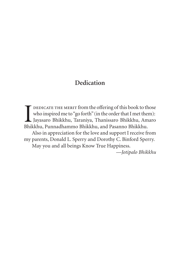## **Dedication**

I<br>Bhil DEDICATE THE MERIT from the offering of this book to those who inspired me to "go forth" (in the order that I met them): Jayasaro Bhikkhu, Taraniya, Thanissaro Bhikkhu, Amaro Bhikkhu, Punnadhammo Bhikkhu, and Pasanno Bhikkhu. Also in appreciation for the love and support I receive from my parents, Donald L. Sperry and Dorothy C. Binford Sperry. May you and all beings Know True Happiness.

*—Jotipalo Bhikkhu*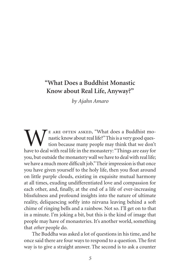## **"What Does a Buddhist Monastic Know about Real Life, Anyway?"**

*by Ajahn Amaro*

E ARE OFTEN ASKED, "What does a Buddhist mo nastic know about real life?" This is a very good ques tion because many people may think that we don't have to deal with real life in the monastery: "Things are easy for you, but outside the monastery wall we have to deal with real life; we have a much more difficult job." Their impression is that once you have given yourself to the holy life, then you float around on little purple clouds, existing in exquisite mutual harmony at all times, exuding undifferentiated love and compassion for each other, and, finally, at the end of a life of ever-increasing blissfulness and profound insights into the nature of ultimate reality, deliquescing softly into nirvana leaving behind a soft chime of ringing bells and a rainbow. Not so. I'll get on to that in a minute. I'm joking a bit, but this is the kind of image that people may have of monasteries. It's another world, something that *other* people do.

The Buddha was asked a lot of questions in his time, and he once said there are four ways to respond to a question. The first way is to give a straight answer. The second is to ask a counter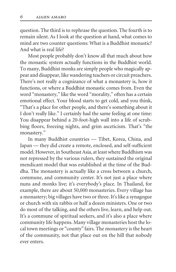question. The third is to rephrase the question. The fourth is to remain silent. As I look at the question at hand, what comes to mind are two counter questions: What is a Buddhist monastic? And what is real life?

Most people probably don't know all that much about how the monastic system actually functions in the Buddhist world. To many, Buddhist monks are simply people who magically ap pear and disappear, like wandering teachers or circuit preachers. There's not really a cognizance of what a monastery is, how it functions, or where a Buddhist monastic comes from. Even the word "monastery," like the word "morality," often has a certain emotional effect. Your blood starts to get cold, and you think, "That's a place for other people, and there's something about it I don't really like." I certainly had the same feeling at one time: You disappear behind a 20-foot-high wall into a life of scrub bing floors, freezing nights, and grim asceticism. That's "the monastery."

In many Buddhist countries — Tibet, Korea, China, and Japan — they did create a remote, enclosed, and self-sufficient model. However, in Southeast Asia, at least where Buddhism was not repressed by the various rulers, they sustained the original mendicant model that was established at the time of the Buddha. The monastery is actually like a cross between a church, commune, and community center. It's not just a place where nuns and monks live; it's everybody's place. In Thailand, for example, there are about 50,000 monasteries. Every village has a monastery; big villages have two or three. It's like a synagogue or church with six rabbis or half a dozen ministers. One or two do most of the talking, and the others live, learn, and help out. It's a commune of spiritual seekers, and it's also a place where community life happens. Many village monasteries host the lo cal town meetings or "county" fairs. The monastery is the heart of the community, not that place out on the hill that nobody ever enters.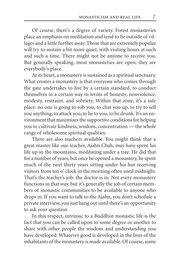Of course, there's a degree of variety. Forest monasteries place an emphasis on meditation and tend to be outside of vil lages and a little further away. Those that are extremely popular will try to sustain a bit more quiet, with visiting hours at such and such a time. There might not be anyone to receive you. But generally speaking, most monasteries are open; they are everybody's place.

At its heart, a monastery is sustained as a spiritual sanctuary. What creates a monastery is that everyone who comes through the gate undertakes to live by a certain standard, to conduct themselves in a certain way in terms of honesty, nonviolence, modesty, restraint, and sobriety. Within that zone, it's a safe place: no one is going to rob you, to chat you up, to try to sell you anything, to attack you, to lie to you, to be drunk. It's an environment that maximizes the supportive conditions for helping you to cultivate kindness, wisdom, concentration — the whole range of wholesome spiritual qualities.

There are also teachers available. You might think that a great master like our teacher, Ajahn Chah, may have spent his life up in the mountains, meditating under a tree. He did that for a number of years, but once he opened a monastery, he spent much of the next thirty years sitting under his hut receiving visitors from ten o' clock in the morning often until midnight. That's the teacher's job: the doctor is in. Not every monastery functions in that way, but it's generally the job of certain mem bers of monastic communities to be available to anyone who drops in. If you want to talk to the Ajahn, you don't schedule a private interview, you just hang out until there's an opportunity to ask your question

In this respect, intrinsic to a Buddhist monastic life is the fact that you can be called upon to some degree or another to share with other people the wisdom and understanding you have developed. Whatever good is developed in the lives of the inhabitants of the monastery is made available. Of course, some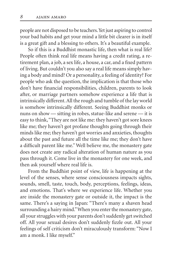people are not disposed to be teachers. Yet just aspiring to control your bad habits and get your mind a little bit clearer is in itself is a great gift and a blessing to others. It's a beautiful example.

So if this is a Buddhist monastic life, then what is real life? People often think real life means having a credit rating, a re tirement plan, a job, a sex life, a house, a car, and a fixed pattern of living. But couldn't you also say a real life means simply hav ing a body and mind? Or a personality, a feeling of identity? For people who ask the question, the implication is that those who don't have financial responsibilities, children, parents to look after, or marriage partners somehow experience a life that is intrinsically different. All the rough and tumble of the lay world is somehow intrinsically different. Seeing Buddhist monks or nuns on show — sitting in robes, statue-like and serene — it is easy to think, "They are not like me: they haven't got sore knees like me; they haven't got profane thoughts going through their minds like me; they haven't got worries and anxieties, thoughts about the past and future all the time like me; they don't have a difficult parent like me." Well believe me, the monastery gate does not create any radical alteration of human nature as you pass through it. Come live in the monastery for one week, and then ask yourself where real life is.

From the Buddhist point of view, life is happening at the level of the senses, where sense consciousness impacts sights, sounds, smell, taste, touch, body, perceptions, feelings, ideas, and emotions. That's where we experience life. Whether you are inside the monastery gate or outside it, the impact is the same. There's a saying in Japan: "There's many a shaven head surrounding a hairy mind." When you enter the monastery gate, all your struggles with your parents don't suddenly get switched off. All your sexual desires don't suddenly fizzle out. All your feelings of self criticism don't miraculously transform: "Now I am a monk. I like myself."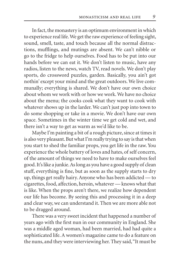In fact, the monastery is an optimum environment in which to experience real life. We get the raw experience of feeling sight, sound, smell, taste, and touch because all the normal distractions, mufflings, and mutings are absent. We can't nibble or go to the fridge to help ourselves. Food has to be put into our hands before we can eat it. We don't listen to music, have any radios, listen to the news, watch TV, read novels. We don't play sports, do crossword puzzles, garden. Basically, you ain't got nothin' except your mind and the great outdoors. We live communally; everything is shared. We don't have our own choice about whom we work with or how we work. We have no choice about the menu; the cooks cook what they want to cook with whatever shows up in the larder. We can't just pop into town to do some shopping or take in a movie. We don't have our own space. Sometimes in the winter time we get cold and wet, and there isn't a way to get as warm as we'd like to be.

Maybe I'm painting a bit of a rough picture, since at times it is also very pleasant. But what I'm really trying to say is that when you start to shed the familiar props, you get life in the raw. You experience the whole battery of loves and hates, of self concern, of the amount of things we need to have to make ourselves feel good. It's like a junkie. As long as you have a good supply of clean stuff, everything is fine, but as soon as the supply starts to dry up, things get really hairy. Anyone who has been addicted — to cigarettes, food, affection, heroin, whatever — knows what that is like. When the props aren't there, we realize how dependent our life has become. By seeing this and processing it in a deep and clear way, we can understand it. Then we are more able not to be dragged around.

There was a very sweet incident that happened a number of years ago with the first nun in our community in England. She was a middle aged woman, had been married, had had quite a sophisticated life. A women's magazine came to do a feature on the nuns, and they were interviewing her. They said, "It must be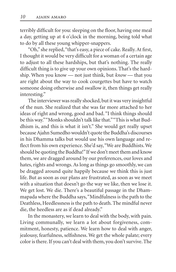terribly difficult for you: sleeping on the floor, having one meal a day, getting up at 4 o'clock in the morning, being told what to do by all these young whipper-snappers.

"Oh," she replied, "that's easy, a piece of cake. Really. At first, I thought it would be very difficult for a woman of a certain age to adjust to all these hardships, but that's nothing. The really difficult thing is to give up your own opinions. That's the hardship. When you know — not just think, but *know* — that you are right about the way to cook courgettes but have to watch someone doing otherwise and swallow it, then things get really interesting."

The interviewer was really shocked, but it was very insightful of the nun. She realized that she was far more attached to her ideas of right and wrong, good and bad. "I think things should be this way." "Monks shouldn't talk like that." "This is what Buddhism is, and this is what it isn't." She would get really upset because Ajahn Sumedho wouldn't quote the Buddha's discourses in his Dhamma talks but would use his own language and reflect from his own experience. She'd say, "We are Buddhists. We should be quoting the Buddha!" If we don't meet them and know them, we are dragged around by our preferences, our loves and hates, rights and wrongs. As long as things go smoothly, we can be dragged around quite happily because we think this is just life. But as soon as our plans are frustrated, as soon as we meet with a situation that doesn't go the way we like, then we lose it. We get lost. We die. There's a beautiful passage in the Dhammapada where the Buddha says, "Mindfulness is the path to the Deathless, Heedlessness is the path to death. The mindful never die, the heedless are as if dead already."

In the monastery, we learn to deal with the body, with pain. Living communally, we learn a lot about forgiveness, com mitment, honesty, patience. We learn how to deal with anger, jealousy, fearfulness, selfishness. We get the whole palate; every color is there. If you can't deal with them, you don't survive. The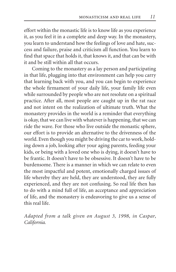effort within the monastic life is to know life as you experience it, as you feel it in a complete and deep way. In the monastery, you learn to understand how the feelings of love and hate, success and failure, praise and criticism all function. You learn to find that space that holds it, that knows it, and that can be with it and be still within all that occurs.

Coming to the monastery as a lay person and participating in that life, plugging into that environment can help you carry that learning back with you, and you can begin to experience the whole firmament of your daily life, your family life even while surrounded by people who are not resolute on a spiritual practice. After all, most people are caught up in the rat race and not intent on the realization of ultimate truth. What the monastery provides in the world is a reminder that everything is okay, that we can live with whatever is happening, that we can ride the wave. For those who live outside the monastic sphere, our effort is to provide an alternative to the drivenness of the world. Even though you might be driving the car to work, hold ing down a job, looking after your aging parents, feeding your kids, or being with a loved one who is dying, it doesn't have to be fran tic. It doesn't have to be obsessive. It doesn't have to be bur den some. There is a manner in which we can relate to even the most impactful and potent, emotionally charged issues of life whereby they are held, they are understood, they are fully experienced, and they are not confusing. So real life then has to do with a mind full of life, an acceptance and appreciation of life, and the monastery is endeavoring to give us a sense of this real life.

*Adapted from a talk given on August 3, 1998, in Caspar, Cal i for nia.*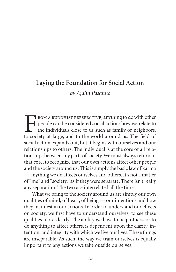#### **Laying the Foundation for Social Action**

#### *by Ajahn Pasanno*

FROM A BUDDHIST PERSPECTIVE, anything to do with other<br>people can be considered social action: how we relate to<br>the individuals close to us such as family or neighbors,<br>to society at large, and to the world around us. The people can be considered social action: how we relate to the individuals close to us such as family or neighbors, to society at large, and to the world around us. The field of social action expands out, but it begins with ourselves and our relationships to others. The individual is at the core of all relationships between any parts of society. We must always return to that core, to recognize that our own actions affect other people and the society around us. This is simply the basic law of karma — any thing we do affects ourselves and others. It's not a matter of "me" and "society," as if they were separate. There isn't really any separation. The two are interrelated all the time.

What we bring to the society around us are simply our own qualities of mind, of heart, of being — our intentions and how they manifest in our actions. In order to understand our effects on society, we first have to understand ourselves, to see these qualities more clearly. The ability we have to help others, or to do anything to affect others, is dependent upon the clarity, in tention, and integrity with which we live our lives. These things are inseparable. As such, the way we train ourselves is equally important to any actions we take outside ourselves.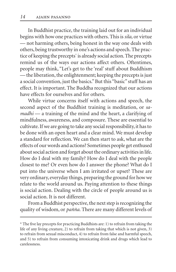In Buddhist practice, the training laid out for an individual begins with how one practices with others. This is *sila,* or virtue — not harming others, being honest in the way one deals with others, being trustworthy in one's actions and speech. The prac tice of keeping the precepts<sup>\*</sup> is already social action. The precepts remind us of the ways our actions affect others. Oftentimes, people may think, "Let's get to the 'real' stuff about Buddhism — the liberation, the enlightenment; keeping the precepts is just a social convention, just the basics." But this "basic" stuff has an effect. It is important. The Buddha recognized that our actions have effects for ourselves and for others.

While virtue concerns itself with actions and speech, the second aspect of the Buddhist training is meditation, or *samadhi* — a training of the mind and the heart, a clarifying of mind fulness, awareness, and composure. These are essential to cultivate. If we are going to take any social responsibility, it has to be done with an open heart and a clear mind. We must develop a standard for reflection. We can then start to ask, what are the effects of our words and actions? Sometimes people get enthused about social action and forget about the ordinary activities in life. How do I deal with my family? How do I deal with the people closest to me? Or even how do I answer the phone? What do I put into the universe when I am irritated or upset? These are very ordinary, everyday things, preparing the ground for how we relate to the world around us. Paying attention to these things is social action. Dealing with the circle of people around us is social action. It is not different

From a Buddhist perspective, the next step is recognizing the quality of wisdom, or *pañña*. There are many different levels of

 $*$  The five lay precepts for practicing Buddhists are: 1) to refrain from taking the life of any living creature, 2) to refrain from taking that which is not given, 3) to refrain from sexual misconduct, 4) to refrain from false and harmful speech, and 5) to refrain from consuming intoxicating drink and drugs which lead to carelessness.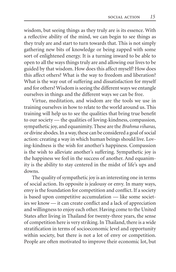wisdom, but seeing things as they truly are is its essence. With a reflective ability of the mind, we can begin to see things as they truly are and start to turn towards that. This is not simply gathering new bits of knowledge or being zapped with some sort of enlightened energy. It is a turning inward to be able to open to all the ways things truly are and allowing our lives to be guided by that wisdom. How does this affect myself? How does this affect others? What is the way to freedom and liberation? What is the way out of suffering and dissatisfaction for myself and for others? Wisdom is seeing the different ways we entangle ourselves in things and the different ways we can be free.

Virtue, meditation, and wisdom are the tools we use in training ourselves in how to relate to the world around us. This training will help us to see the qualities that bring true benefit to our society — the qualities of loving-kindness, compassion, sympathetic joy, and equanimity. These are the *Brahma viharas*, or divine abodes. In a way, these can be considered a goal of social action: creating a way in which human beings should live. Lov ing-kindness is the wish for another's happiness. Compassion is the wish to alleviate another's suffering. Sympathetic joy is the happiness we feel in the success of another. And equanimity is the ability to stay centered in the midst of life's ups and downs.

The quality of sympathetic joy is an interesting one in terms of social action. Its opposite is jealousy or envy. In many ways, envy is the foundation for competition and conflict. If a society is based upon competitive accumulation — like some societies we know — it can create conflict and a lack of appreciation and willingness to enjoy each other. Having come to the United States after living in Thailand for twenty-three years, the sense of competition here is very striking. In Thailand, there is a wide stratification in terms of socioeconomic level and opportunity within society, but there is not a lot of envy or competition. People are often motivated to improve their economic lot, but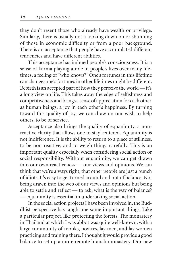they don't resent those who already have wealth or privilege. Similarly, there is usually not a looking down on or shunning of those in economic difficulty or from a poor background. There is an acceptance that people have accumulated different tendencies and have different abilities.

This acceptance has imbued people's consciousness. It is a sense of karma playing a role in people's lives over many life times, a feeling of "who knows?" One's fortunes in this lifetime can change; one's fortunes in other lifetimes might be different. Rebirth is an accepted part of how they perceive the world  $-$  it's a long view on life. This takes away the edge of selfishness and competitiveness and brings a sense of appreciation for each other as human beings, a joy in each other's happiness. By turning toward this quality of joy, we can draw on our wish to help others, to be of service.

Acceptance also brings the quality of equanimity, a nonreactive clarity that allows one to stay centered. Equanimity is not indifference. It is the ability to return to a place of stillness, to be non-reactive, and to weigh things carefully. This is an important quality especially when considering social action or social responsibility. Without equanimity, we can get drawn into our own reactiveness — our views and opinions. We can think that we're always right, that other people are just a bunch of idiots. It's easy to get turned around and out of balance. Not being drawn into the web of our views and opinions but being able to settle and reflect  $-$  to ask, what is the way of balance? — equanimity is essential in undertaking social action.

In the social action projects I have been involved in, the Bud dhist perspective has taught me some important things. Take a particular project, like protecting the forests. The monastery in Thailand at which I was abbot was quite well-known, with a large community of monks, novices, lay men, and lay women practicing and training there. I thought it would provide a good balance to set up a more remote branch monastery. Our new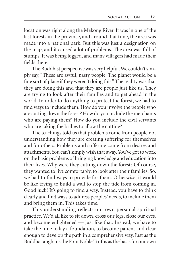location was right along the Mekong River. It was in one of the last forests in the province, and around that time, the area was made into a national park. But this was just a designation on the map, and it caused a lot of problems. The area was full of stumps. It was being logged, and many villagers had made their fields there.

The Buddhist perspective was very helpful. We couldn't sim ply say, "These are awful, nasty people. The planet would be a fine sort of place if they weren't doing this." The reality was that they are doing this and that they are people just like us. They are trying to look after their families and to get ahead in the world. In order to do anything to protect the forest, we had to find ways to include them. How do you involve the people who are cutting down the forest? How do you include the merchants who are paying them? How do you include the civil servants who are taking the bribes to allow the cutting?

The teachings told us that problems come from people not understanding how they are creating suffering for themselves and for others. Problems and suffering come from desires and attachments. You can't simply wish that away. You've got to work on the basic problems of bringing knowledge and education into their lives. Why were they cutting down the forest? Of course, they wanted to live comfortably, to look after their families. So, we had to find ways to provide for them. Otherwise, it would be like trying to build a wall to stop the tide from coming in. Good luck! It's going to find a way. Instead, you have to think clearly and find ways to address peoples' needs, to include them and bring them in. This takes time.

This understanding reflects our own personal spiritual practice. We'd all like to sit down, cross our legs, close our eyes, and become enlightened — just like that. Instead, we have to take the time to lay a foundation, to become patient and clear enough to develop the path in a comprehensive way. Just as the Buddha taught us the Four Noble Truths as the basis for our own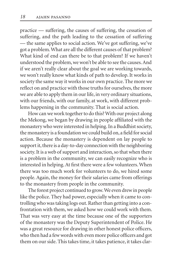$practive$  — suffering, the causes of suffering, the cessation of suffering, and the path leading to the cessation of suffering — the same applies to social action. We've got suffering, we've got a problem. What are all the different causes of that problem? What kind of end can there be to that problem? If we haven't understood the problem, we won't be able to see the causes. And if we aren't really clear about the goal we are working towards, we won't really know what kinds of path to develop. It works in society the same way it works in our own practice. The more we reflect on and practice with those truths for ourselves, the more we are able to apply them in our life, in very ordinary situations, with our friends, with our family, at work, with different problems happening in the community. That is social action.

How can we work together to do this? With our project along the Mekong, we began by drawing in people affiliated with the monastery who were interested in helping. In a Buddhist society, the monastery is a foundation we could build on, a field for social action. Because the monastery is dependent on lay people to support it, there is a day-to-day connection with the neighboring society. It is a web of support and interaction, so that when there is a problem in the community, we can easily recognize who is interested in helping. At first there were a few volunteers. When there was too much work for volunteers to do, we hired some people. Again, the money for their salaries came from offerings to the monastery from people in the community.

The forest project continued to grow. We even drew in people like the police. They had power, especially when it came to con trolling who was taking logs out. Rather than getting into a confrontation with them, we asked how we could work with them. That was very easy at the time because one of the supporters of the monastery was the Deputy Superintendent of Police. He was a great resource for drawing in other honest police officers, who then had a few words with even more police officers and got them on our side. This takes time, it takes patience, it takes clar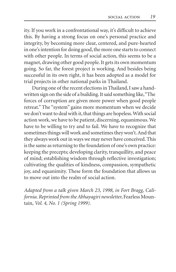ity. If you work in a confrontational way, it's difficult to achieve this. By having a strong focus on one's personal practice and integrity, by becoming more clear, centered, and pure-hearted in one's intention for doing good, the more one starts to connect with other people. In terms of social action, this seems to be a magnet, drawing other good people. It gets its own momentum going. So far, the forest project is working. And besides being successful in its own right, it has been adopted as a model for trial projects in other national parks in Thailand.

During one of the recent elections in Thailand, I saw a hand written sign on the side of a building. It said something like, "The forces of corruption are given more power when good people retreat." The "system" gains more momentum when we decide we don't want to deal with it, that things are hopeless. With social action work, we have to be patient, discerning, equanimous. We have to be willing to try and to fail. We have to recognize that sometimes things will work and sometimes they won't. And that they always work out in ways we may never have conceived. This is the same as returning to the foundation of one's own practice: keeping the precepts; developing clarity, tranquillity, and peace of mind; establishing wisdom through reflective investigation; cultivating the qualities of kindness, compassion, sympathetic joy, and equanimity. These form the foundation that allows us to move out into the realm of social action.

*Adapted from a talk given March 23, 1998, in Fort Bragg, Cal i for nia. Reprinted from the Abhayagiri news let ter,* Fear less Moun tain, *Vol. 4, No. 1 (Spring 1999).*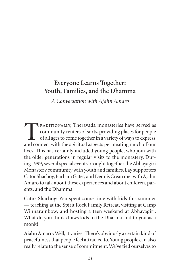# **Everyone Learns Together: Youth, Families, and the Dhamma**

*A Conversation with Ajahn Amaro*

RADITIONALLY, Theravada monasteries have served as<br>community centers of sorts, providing places for people<br>of all ages to come together in a variety of ways to express<br>and connect with the spiritual aspects permeating much community centers of sorts, providing places for people of all ages to come together in a variety of ways to express and connect with the spiritual aspects permeating much of our lives. This has certainly included young people, who join with the older generations in regular visits to the monastery. During 1999, several special events brought together the Abhayagiri Monastery community with youth and families. Lay supporters Cator Shachoy, Barbara Gates, and Dennis Crean met with Ajahn Amaro to talk about these experiences and about children, parents, and the Dhamma.

Cator Shachoy: You spent some time with kids this summer — teaching at the Spirit Rock Family Retreat, visiting at Camp Winnarainbow, and hosting a teen weekend at Abhayagiri. What do you think draws kids to the Dharma and to you as a monk?

**Ajahn Amaro:** Well, it varies. There's obviously a certain kind of peacefulness that people feel attracted to. Young people can also really relate to the sense of commitment. We've tied ourselves to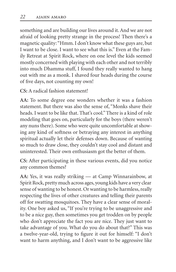something and are building our lives around it. And we are not afraid of looking pretty strange in the process! Then there's a magnetic quality: "Hmm. I don't know what these guys are, but I want to be close. I want to see what this is." Even at the Family Retreat at Spirit Rock, where on one level the kids seemed mostly concerned with playing with each other and not terribly into much Dhamma stuff, I found they really wanted to hang out with me as a monk. I shaved four heads during the course of five days, not counting my own!

**CS:** A radical fashion statement!

**AA:** To some degree one wonders whether it was a fashion state ment. But there was also the sense of, "Monks shave their heads. I want to be like that. That's cool." There is a kind of role modeling that goes on, particularly for the boys (there weren't any nuns there). Some who were quite uncomfortable at show ing any kind of softness or betraying any interest in anything spiritual actually let their defenses down. Because of wanting so much to draw close, they couldn't stay cool and distant and uninterested. Their own enthusiasm got the better of them.

**CS:** After participating in these various events, did you notice any common themes?

**AA:** Yes, it was really striking — at Camp Winnarainbow, at Spirit Rock, pretty much across ages, young kids have a very clear sense of wanting to be honest. Or wanting to be harmless, really respecting the lives of other creatures and telling their parents off for swatting mosquitoes. They have a clear sense of morality. One boy asked us, "If you're trying to be unaggressive and to be a nice guy, then sometimes you get trodden on by people who don't appreciate the fact you are nice. They just want to take advantage of you. What do you do about that?" This was a twelve-year-old, trying to figure it out for himself: "I don't want to harm anything, and I don't want to be aggressive like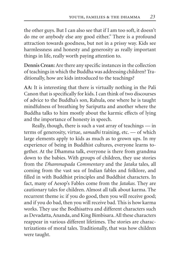the other guys. But I can also see that if I am too soft, it doesn't do me or anybody else any good either." There is a profound attraction towards goodness, but not in a prissy way. Kids see harm lessness and honesty and generosity as really important things in life, really worth paying attention to.

Dennis Crean: Are there any specific instances in the collection of teachings in which the Buddha was addressing children? Traditionally, how are kids introduced to the teachings?

**AA:** It is interesting that there is virtually nothing in the Pali Canon that is specifically for kids. I can think of two discourses of advice to the Buddha's son, Rahula, one where he is taught mindfulness of breathing by Sariputta and another where the Buddha talks to him mostly about the karmic effects of lying and the importance of honesty in speech.

Really, though, there is such a vast array of teachings — in terms of generosity, virtue, *samadhi* training, etc. — of which large elements apply to kids as much as to grown ups. In my experience of being in Buddhist cultures, everyone learns to gether. At the Dhamma talk, everyone is there from grandma down to the babies. With groups of children, they use stories from the *Dhammapada Commentary* and the *Jataka* tales, all coming from the vast sea of Indian fables and folklore, and filled in with Buddhist principles and Buddhist characters. In fact, many of Aesop's Fables come from the *Jatakas.* They are cautionary tales for children. Almost all talk about karma. The recurrent theme is: if you do good, then you will receive good; and if you do bad, then you will receive bad. This is how karma works. They use the Bodhisattva and different characters such as Devadatta, Ananda, and King Bimbisara. All these characters reappear in various different lifetimes. The stories are characterizations of moral tales. Traditionally, that was how children were taught.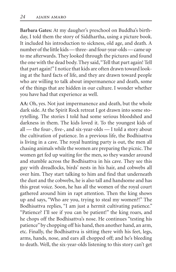**Barbara Gates:** At my daugher's preschool on Buddha's birth day, I told them the story of Siddhartha, using a picture book. It included his introduction to sickness, old age, and death. A number of the little kids — three- and four-year-olds — came up to me afterwards. They looked through the pictures and found the one with the dead body. They said, "Tell that part again! Tell that part again!" I notice that kids are often drawn toward look ing at the hard facts of life, and they are drawn toward people who are willing to talk about impermanence and death, some of the things that are hidden in our culture. I wonder whether you have had that experience as well.

**AA:** Oh, yes. Not just impermanence and death, but the whole dark side. At the Spirit Rock retreat I got drawn into some storytelling. The stories I told had some serious bloodshed and darkness in them. The kids loved it. To the youngest kids of all — the four-, five-, and six-year-olds — I told a story about the cultivation of patience. In a previous life, the Bodhisattva is living in a cave. The royal hunting party is out, the men all chasing animals while the women are preparing the picnic. The women get fed up waiting for the men, so they wander around and stumble across the Bodhisattva in his cave. They see this guy with dreadlocks, birds' nests in his hair, and cobwebs all over him. They start talking to him and find that underneath the dust and the cobwebs, he is also tall and handsome and has this great voice. Soon, he has all the women of the royal court gathered around him in rapt attention. Then the king shows up and says, "Who are you, trying to steal my women?!" The Bodhisattva replies, "I am just a hermit cultivating patience." "Patience? I'll see if you can be patient!" the king roars, and he chops off the Bodhisattva's nose. He continues "testing his patience" by chopping off his hand, then another hand, an arm, etc. Finally, the Bodhisattva is sitting there with his feet, legs, arms, hands, nose, and ears all chopped off; and he's bleeding to death. Well, the six-year-olds listening to this story can't get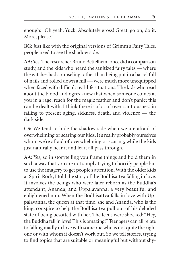enough: "Oh yeah. Yuck. Absolutely gross! Great, go on, do it. More, please."

**BG:** Just like with the original versions of Grimm's Fairy Tales, people need to see the shadow side.

AA: Yes. The researcher Bruno Bettelheim once did a comparison study, and the kids who heard the sanitized fairy tales — where the witches had counseling rather than being put in a barrel full of nails and rolled down a hill — were much more unequipped when faced with difficult real-life situations. The kids who read about the blood and ogres knew that when someone comes at you in a rage, reach for the magic feather and don't panic; this can be dealt with. I think there is a lot of over-cautiousness in failing to present aging, sickness, death, and violence  $-$  the dark side.

**CS:** We tend to hide the shadow side when we are afraid of over whelming or scaring our kids. It's really probably ourselves whom we're afraid of overwhelming or scaring, while the kids just naturally hear it and let it all pass through.

**AA:** Yes, so in storytelling you frame things and hold them in such a way that you are not simply trying to horrify people but to use the imagery to get people's attention. With the older kids at Spirit Rock, I told the story of the Bodhisattva falling in love. It involves the beings who were later reborn as the Buddha's attendant, Ananda, and Uppalavanna, a very beautiful and enlightened nun. When the Bodhisattva falls in love with Uppalavanna, the queen at that time, she and Ananda, who is the king, conspire to help the Bodhisattva pull out of his deluded state of being besotted with her. The teens were shocked: "Hey, the Buddha fell in love! This is amazing!" Teenagers can all relate to falling madly in love with someone who is not quite the right one or with whom it doesn't work out. So we tell stories, trying to find topics that are suitable or meaningful but without shy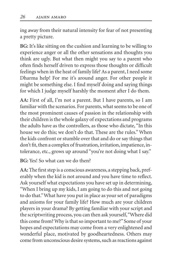ing away from their natural intensity for fear of not presenting a pretty picture.

**BG:** It's like sitting on the cushion and learning to be willing to experience anger or all the other sensations and thoughts you think are ugly. But what then might you say to a parent who often finds herself driven to express those thoughts or difficult feelings when in the heat of family life? As a parent, I need some Dharma help! For me it's around anger. For other people it might be something else. I find myself doing and saying things for which I judge myself harshly the moment after I do them.

**AA:** First of all, I'm not a parent. But I have parents, so I am familiar with the scenarios. For parents, what seems to be one of the most prominent causes of passion in the relationship with their children is the whole galaxy of expectations and programs the adults have as the controllers, as those who dictate, "In this house we do this; we don't do that. These are the rules." When the kids confront or stumble over that and do or say things that don't fit, then a complex of frustration, irritation, impatience, intolerance, etc., grows up around "you're not doing what I say."

**BG:** Yes! So what can we do then?

AA: The first step is a conscious awareness, a stepping back, preferably when the kid is not around and you have time to reflect. Ask yourself what expectations you have set up in determining, "When I bring up my kids, I am going to do this and not going to do that." What have you put in place as your set of paradigms and axioms for your family life? How much are your children players in your drama? By getting familiar with your script and the scriptwriting process, you can then ask yourself, "Where did this come from? Why is that so important to me?" Some of your hopes and expectations may come from a very enlightened and wonderful place, motivated by goodheartedness. Others may come from unconscious desire systems, such as reactions against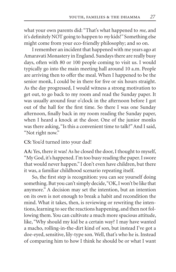what your own parents did: "That's what happened to *me,* and it's definitely NOT going to happen to *my* kids!" Something else might come from your eco-friendly philosophy; and so on.

I remember an incident that happened with me years ago at Amaravati Monastery in England. Sundays there are really busy days, often with 80 or 100 people coming to visit us. I would typically go into the main meeting hall around 10 a.m. People are arriving then to offer the meal. When I happened to be the senior monk, I could be in there for five or six hours straight. As the day progressed, I would witness a strong motivation to get out, to go back to my room and read the Sunday paper. It was usually around four o'clock in the afternoon before I got out of the hall for the first time. So there I was one Sunday afternoon, finally back in my room reading the Sunday paper, when I heard a knock at the door. One of the junior monks was there asking, "Is this a convenient time to talk?" And I said, "Not right now."

**CS:** You'd turned into your dad!

**AA:** Yes, there it was! As he closed the door, I thought to myself, "My God, it's happened. I'm too busy reading the paper. I swore that would never happen." I don't even have children, but there it was, a familiar childhood scenario repeating itself.

So, the first step is recognition: you can see yourself doing something. But you can't simply decide, "OK, I won't be like that anymore." A decision may set the intention, but an intention on its own is not enough to break a habit and recondition the mind. What it takes, then, is reviewing or rewriting the intentions, learning to see the reactions happening, and then not following them. You can cultivate a much more spacious attitude, like, "Why should my kid be a certain way? I may have wanted a macho, rolling-in-the-dirt kind of son, but instead I've got a doe-eyed, sensitive, lily-type son. Well, that's who he is. Instead of comparing him to how I think he should be or what I want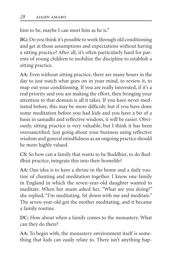him to be, maybe I can meet him as he is."

**BG:** Do you think it's possible to work through old conditioning and get at those assumptions and expectations without having a sitting practice? After all, it's often particularly hard for parents of young children to mobilize the discipline to establish a sitting practice.

**AA:** Even without sitting practice, there are many hours in the day to just watch what goes on in your mind, to review it, to map out your conditioning. If you are really interested, if it's a real priority and you are making the effort, then bringing your attention to that domain is all it takes. If you have never med itated before, this may be more difficult; but if you have done some meditation before you had kids and you have a bit of a basis in samadhi and reflective wisdom, it will be easier. Obviously, sitting practice is very valuable, but I think it has been oversanctified. Just going about your business using reflective wisdom and general mindfulness as an ongoing practice should be more highly valued.

**CS:** So how can a family that wants to be Buddhist, to do Bud dhist practice, integrate this into their homelife?

**AA:** One idea is to have a shrine in the home and a daily routine of chanting and meditation together. I know one family in England in which the seven-year-old daughter wanted to meditate. When her mum asked her, "What are you doing?" she replied, "I'm meditating. Sit down with me and meditate." The seven-year-old got the mother meditating, and it became a family routine.

**DC:** How about when a family comes to the monastery. What can they do there?

**AA:** To begin with, the monastery environment itself is some thing that kids can easily relate to. There isn't anything hap-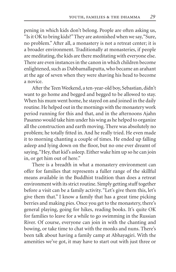pening in which kids don't belong. People are often asking us, "Is it OK to bring kids?" They are astonished when we say, "Sure, no problem." After all, a monastery is not a retreat center; it is a broader environment. Traditionally at monasteries, if people are meditating, the kids are there meditating with everyone else. There are even instances in the canon in which children become enlightened, such as Dabbamallaputta, who became an arahant at the age of seven when they were shaving his head to become a novice.

After the Teen Weekend, a ten-year-old boy, Sebastian, didn't want to go home and begged and begged to be allowed to stay. When his mum went home, he stayed on and joined in the daily routine. He helped out in the mornings with the monastery work period running for this and that, and in the afternoons Ajahn Pasanno would take him under his wing as he helped to organize all the construction and earth moving. There was absolutely no problem; he totally fitted in. And he really tried. He even made it to morning chanting a couple of times. He ended up falling asleep and lying down on the floor, but no one ever dreamt of saying, "Hey, that kid's asleep. Either wake him up so he can join in, or get him out of here."

There is a breadth in what a monastery environment can offer for families that represents a fuller range of the skillful means available in the Buddhist tradition than does a retreat environment with its strict routine. Simply getting stuff together before a visit can be a family activity. "Let's give them this, let's give them that." I know a family that has a great time picking berries and making pies. Once you get to the monastery, there's general playing, going for hikes, reading books. It's quite OK for families to leave for a while to go swimming in the Russian River. Of course, everyone can join in with the chanting and bowing, or take time to chat with the monks and nuns. There's been talk about having a family camp at Abhayagiri. With the amenities we've got, it may have to start out with just three or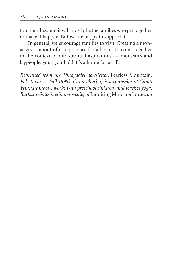four families, and it will mostly be the families who get together to make it happen. But we are happy to support it.

In general, we encourage families to visit. Creating a mon astery is about offering a place for all of us to come together in the context of our spiritual aspirations — monastics and laypeople, young and old. It's a home for us all.

*Reprinted from the Abhayagiri newsletter,* Fearless Mountain, *Vol. 4, No. 3 (Fall 1999). Cator Shachoy is a counselor at Camp Winnarainbow, works with preschool children, and teaches yoga. Barbara Gates is editor-in-chief of Inquiring Mind and draws on*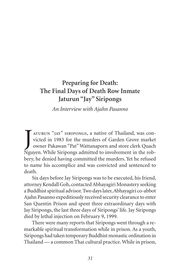# **Preparing for Death: The Final Days of Death Row Inmate Jaturun "Jay" Siripongs**

*An Interview with Ajahn Pasanno*

ATURUN "JAY" SIRIPONGS, a native of Thailand, was convicted in 1983 for the murders of Garden Grove market owner Pakawan "Pat" Wattanaporn and store clerk Quach Nguyen. While Siripongs admitted to involvement in the rob-ATURUN "JAY" SIRIPONGS, a native of Thailand, was con victed in 1983 for the murders of Garden Grove market owner Pakawan "Pat" Wattanaporn and store clerk Quach bery, he denied having committed the murders. Yet he refused to name his accomplice and was convicted and sentenced to death.

Six days before Jay Siripongs was to be executed, his friend, attorney Kendall Goh, contacted Abhayagiri Monastery seeking a Buddhist spiritual advisor. Two days later, Abhayagiri co-abbot Ajahn Pasanno expeditiously received security clearance to enter San Quentin Prison and spent three extraordinary days with Jay Siripongs, the last three days of Siripongs' life. Jay Siripongs died by lethal injection on February 9, 1999.

There were many reports that Siripongs went through a re mark able spiritual transformation while in prison. As a youth, Siripongs had taken temporary Buddhist monastic ordination in Thailand — a common Thai cultural practice. While in prison,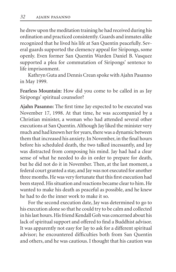he drew upon the meditation training he had received during his ordination and practiced consistently. Guards and inmates alike recognized that he lived his life at San Quentin peacefully. Several guards supported the clemency appeal for Siripongs, some openly. Even former San Quentin Warden Daniel B. Vasquez supported a plea for commutation of Siripongs' sentence to life imprisonment.

Kathryn Guta and Dennis Crean spoke with Ajahn Pasanno in May 1999.

**Fearless Mountain:** How did you come to be called in as Jay Siripongs' spiritual counselor?

Ajahn Pasanno: The first time Jay expected to be executed was November 17, 1998. At that time, he was accompanied by a Christian minister, a woman who had attended several other executions at San Quentin. Although Jay liked the minister very much and had known her for years, there was a dynamic between them that increased his anxiety. In November, in the final hours before his scheduled death, the two talked incessantly, and Jay was distracted from composing his mind. Jay had had a clear sense of what he needed to do in order to prepare for death, but he did not do it in November. Then, at the last moment, a federal court granted a stay, and Jay was not executed for another three months. He was very fortunate that this first execution had been stayed. His situation and reactions became clear to him. He wanted to make his death as peaceful as possible, and he knew he had to do the inner work to make it so.

For the second execution date, Jay was determined to go to his execution alone so that he could try to be calm and collected in his last hours. His friend Kendall Goh was concerned about his lack of spiritual support and offered to find a Buddhist advisor. It was apparently not easy for Jay to ask for a different spiritual advisor; he encountered difficulties both from San Quentin and others, and he was cautious. I thought that his caution was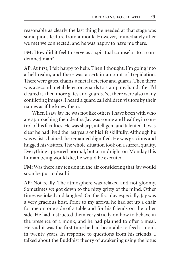reasonable as clearly the last thing he needed at that stage was some pious lecture from a monk. However, immediately after we met we connected, and he was happy to have me there.

**FM:** How did it feel to serve as a spiritual counselor to a con demned man?

AP: At first, I felt happy to help. Then I thought, I'm going into a hell realm, and there was a certain amount of trepidation. There were gates, chains, a metal detector and guards. Then there was a second metal detector, guards to stamp my hand after I'd cleared it, then more gates and guards. Yet there were also many conflicting images. I heard a guard call children visitors by their names as if he knew them.

When I saw Jay, he was not like others I have been with who are approaching their deaths. Jay was young and healthy, in con trol of his faculties. He was sharp, intelligent and talented. It was clear he had lived the last years of his life skillfully. Although he was waist-chained, he remained dignified. He was gracious and hugged his visitors. The whole situation took on a surreal quality. Everything appeared normal, but at midnight on Monday this human being would die, he would be executed.

**FM:** Was there any tension in the air considering that Jay would soon be put to death?

**AP:** Not really. The atmosphere was relaxed and not gloomy. Sometimes we got down to the nitty gritty of the mind. Other times we joked and laughed. On the first day especially, Jay was a very gracious host. Prior to my arrival he had set up a chair for me on one side of a table and for his friends on the other side. He had instructed them very strictly on how to behave in the presence of a monk, and he had planned to offer a meal. He said it was the first time he had been able to feed a monk in twenty years. In response to questions from his friends, I talked about the Buddhist theory of awakening using the lotus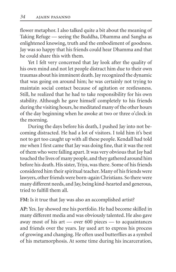flower metaphor. I also talked quite a bit about the meaning of Taking Refuge — seeing the Buddha, Dhamma and Sangha as enlightened knowing, truth and the embodiment of goodness. Jay was so happy that his friends could hear Dhamma and that he could share this with them.

Yet I felt very concerned that Jay look after the quality of his own mind and not let people distract him due to their own traumas about his imminent death. Jay recognized the dynamic that was going on around him; he was certainly not trying to maintain social contact because of agitation or restlessness. Still, he realized that he had to take responsibility for his own stability. Although he gave himself completely to his friends during the visiting hours, he meditated many of the other hours of the day beginning when he awoke at two or three o'clock in the morning.

During the days before his death, I pushed Jay into not be coming distracted. He had a lot of visitors. I told him it's best not to get too caught up with all these people. Kendall had told me when I first came that Jay was doing fine, that it was the rest of them who were falling apart. It was very obvious that Jay had touched the lives of many people, and they gathered around him before his death. His sister, Triya, was there. Some of his friends considered him their spiritual teacher. Many of his friends were lawyers, other friends were born-again Christians. So there were many different needs, and Jay, being kind-hearted and generous, tried to fulfill them all.

#### **FM:** Is it true that Jay was also an accomplished artist?

**AP:** Yes. Jay showed me his portfolio. He had become skilled in many different media and was obviously talented. He also gave away most of his art  $-$  over 600 pieces  $-$  to acquaintances and friends over the years. Jay used art to express his process of growing and changing. He often used butterflies as a symbol of his metamorphosis. At some time during his incarceration,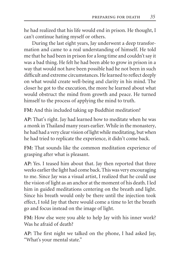he had realized that his life would end in prison. He thought, I can't continue hating myself or others.

During the last eight years, Jay underwent a deep transformation and came to a real understanding of himself. He told me that he had been in prison for a long time and couldn't say it was a bad thing. He felt he had been able to grow in prison in a way that would not have been possible had he not been in such difficult and extreme circumstances. He learned to reflect deeply on what would create well-being and clarity in his mind. The closer he got to the execution, the more he learned about what would obstruct the mind from growth and peace. He turned himself to the process of applying the mind to truth.

**FM:** And this included taking up Buddhist meditation?

**AP:** That's right. Jay had learned how to meditate when he was a monk in Thailand many years earlier. While in the monastery, he had had a very clear vision of light while meditating, but when he had tried to replicate the experience, it didn't come back.

**FM:** That sounds like the common meditation experience of grasping after what is pleasant.

**AP:** Yes. I teased him about that. Jay then reported that three weeks earlier the light had come back. This was very encouraging to me. Since Jay was a visual artist, I realized that he could use the vision of light as an anchor at the moment of his death. I led him in guided meditations centering on the breath and light. Since his breath would only be there until the injection took effect, I told Jay that there would come a time to let the breath go and focus instead on the image of light.

**FM:** How else were you able to help Jay with his inner work? Was he afraid of death?

AP: The first night we talked on the phone, I had asked Jay, "What's your mental state."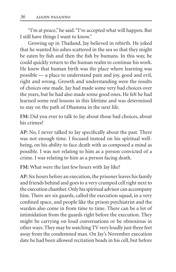"I'm at peace," he said. "I've accepted what will happen. But I still have things I want to know."

Growing up in Thailand, Jay believed in rebirth. He joked that he wanted his ashes scattered in the sea so that they might be eaten by fish and then the fish by humans. In this way, he could quickly return to the human realm to continue his work. He knew that human birth was the place where learning was possible — a place to understand pain and joy, good and evil, right and wrong. Growth and understanding were the results of choices one made. Jay had made some very bad choices over the years, but he had also made some good ones. He felt he had learned some real lessons in this lifetime and was determined to stay on the path of Dhamma in the next life.

**FM:** Did you ever to talk to Jay about those bad choices, about his crimes?

AP: No, I never talked to Jay specifically about the past. There was not enough time. I focused instead on his spiritual wellbeing, on his ability to face death with as composed a mind as possible. I was not relating to him as a person convicted of a crime. I was relating to him as a person facing death.

**FM:** What were the last few hours with Jay like?

AP: Six hours before an execution, the prisoner leaves his family and friends behind and goes to a very cramped cell right next to the execution chamber. Only his spiritual advisor can accompany him. There are six guards, called the execution squad, in a very confined space, and people like the prison psychiatrist and the warden also come in from time to time. There can be a lot of intimidation from the guards right before the execution. They might be carrying on loud conversations or be obnoxious in other ways. They may be watching TV very loudly just three feet away from the condemned man. On Jay's November execution date he had been allowed recitation beads in his cell, but before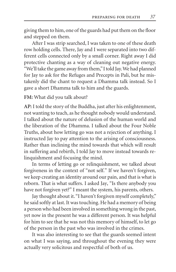giving them to him, one of the guards had put them on the floor and stepped on them.

After I was strip searched, I was taken to one of these death row holding cells. There, Jay and I were separated into two dif ferent cells connected only by a small corner. Right away I did protective chanting as a way of cleaning out negative energy. "We'll take the game away from them," I told Jay. We had planned for Jay to ask for the Refuges and Precepts in Pali, but he mis takenly did the chant to request a Dhamma talk instead. So I gave a short Dhamma talk to him and the guards.

**FM:** What did you talk about?

AP: I told the story of the Buddha, just after his enlightenment, not wanting to teach, as he thought nobody would understand. I talked about the nature of delusion of the human world and the liberation of the Dhamma. I talked about the Four Noble Truths, about how letting go was not a rejection of anything. I instructed Jay to pay attention to the arising of consciousness. Rather than inclining the mind towards that which will result in suffering and rebirth, I told Jay to move instead towards re lin quishment and focusing the mind.

In terms of letting go or relinquishment, we talked about for giveness in the context of "not self." If we haven't forgiven, we keep creating an identity around our pain, and that is what is reborn. That is what suffers. I asked Jay, "Is there anybody you have not forgiven yet?" I meant the system, his parents, others.

Jay thought about it. "I haven't forgiven myself completely," he said softly at last. It was touching. He had a memory of being a person who had been involved in something wrong in the past, yet now in the present he was a different person. It was helpful for him to see that he was not this memory of himself, to let go of the person in the past who was involved in the crimes.

It was also interesting to see that the guards seemed intent on what I was saying, and throughout the evening they were actually very solicitous and respectful of both of us.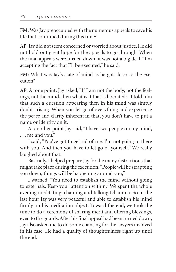**FM:** Was Jay preoccupied with the numerous appeals to save his life that continued during this time?

**AP:** Jay did not seem concerned or worried about justice. He did not hold out great hope for the appeals to go through. When the final appeals were turned down, it was not a big deal. "I'm accepting the fact that I'll be executed," he said.

**FM:** What was Jay's state of mind as he got closer to the execution?

**AP:** At one point, Jay asked, "If I am not the body, not the feel ings, not the mind, then what is it that is liberated?" I told him that such a question appearing then in his mind was simply doubt arising. When you let go of everything and experience the peace and clarity inherent in that, you don't have to put a name or identity on it.

At another point Jay said, "I have two people on my mind, . . . me and you."

I said, "You've got to get rid of me. I'm not going in there with you. And then you have to let go of yourself." We really laughed about that.

Basically, I helped prepare Jay for the many distractions that might take place during the execution. "People will be strapping you down; things will be happening around you,"

I warned. "You need to establish the mind without going to externals. Keep your attention within." We spent the whole evening meditating, chanting and talking Dhamma. So in the last hour Jay was very peaceful and able to establish his mind firmly on his meditation object. Toward the end, we took the time to do a ceremony of sharing merit and offering blessings, even to the guards. After his final appeal had been turned down, Jay also asked me to do some chanting for the lawyers involved in his case. He had a quality of thoughtfulness right up until the end.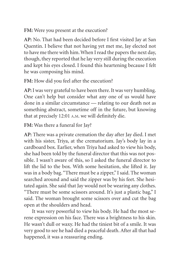**FM:** Were you present at the execution?

AP: No. That had been decided before I first visited Jay at San Quentin. I believe that not having yet met me, Jay elected not to have me there with him. When I read the papers the next day, though, they reported that he lay very still during the execution and kept his eyes closed. I found this heartening because I felt he was composing his mind.

**FM:** How did you feel after the execution?

AP: I was very grateful to have been there. It was very humbling. One can't help but consider what any one of us would have done in a similar circumstance — relating to our death not as something abstract, sometime off in the future, but knowing that at precisely 12:01 A.M. we will definitely die.

**FM:** Was there a funeral for Jay?

**AP:** There was a private cremation the day after Jay died. I met with his sister, Triya, at the crematorium. Jay's body lay in a cardboard box. Earlier, when Triya had asked to view his body, she had been told by the funeral director that this was not pos sible. I wasn't aware of this, so I asked the funeral director to lift the lid to the box. With some hesitation, she lifted it. Jay was in a body bag. "There must be a zipper," I said. The woman searched around and said the zipper was by his feet. She hesitated again. She said that Jay would not be wearing any clothes. "There must be some scissors around. It's just a plastic bag," I said. The woman brought some scissors over and cut the bag open at the shoulders and head.

It was very powerful to view his body. He had the most se rene expression on his face. There was a brightness to his skin. He wasn't dull or waxy. He had the tiniest bit of a smile. It was very good to see he had died a peaceful death. After all that had happened, it was a reassuring ending.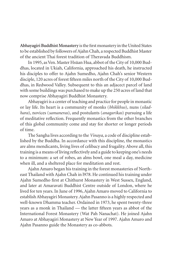Abhayagiri Buddhist Monastery is the first monastery in the United States to be established by followers of Ajahn Chah, a respected Buddhist Master of the ancient Thai forest tradition of Theravada Buddhism.

In 1995, as Ven. Master Hsüan Hua, abbot of the City of 10,000 Bud dhas, located in Ukiah, California, approached his death, he instructed his disciples to offer to Ajahn Sumedho, Ajahn Chah's senior Western disciple, 120 acres of forest fifteen miles north of the City of 10,000 Buddhas, in Redwood Valley. Subsequent to this an adjacect parcel of land with some buildings was purchased to make up the 250 acres of land that now comprise Abhayagiri Buddhist Monastery.

Abhayagiri is a center of teaching and practice for people in monastic or lay life. Its heart is a community of monks (*bhikkhus*), nuns (*siladhara*), novices (*samaneras*), and postulants (*anagarikas*) pursuing a life of meditative reflection. Frequently monastics from the other branches of this global community come and stay for shorter or longer periods of time.

The Sangha lives according to the *Vinaya*, a code of discipline established by the Buddha. In accordance with this discipline, the monastics are alms mendicants, living lives of celibacy and frugality. Above all, this training is a means of living reflectively and a guide to keeping one's needs to a minimum: a set of robes, an alms bowl, one meal a day, medicine when ill, and a sheltered place for meditation and rest.

Ajahn Amaro began his training in the forest monasteries of Northeast Thailand with Ajahn Chah in 1978. He continued his training under Ajahn Sumedho first at Chithurst Monastery in West Sussex, England, and later at Amaravati Buddhist Centre outside of London, where he lived for ten years. In June of 1996, Ajahn Amaro moved to California to establish Abhayagiri Monastery. Ajahn Pasanno is a highly respected and well-known Dhamma teacher. Ordained in 1973, he spent twenty-three years as a monk in Thailand — the latter fifteen years as abbot of the International Forest Monastery (Wat Pah Nanachat). He joined Ajahn Amaro at Abhayagiri Monastery at New Year of 1997. Ajahn Amaro and Ajahn Pasanno guide the Monastery as co-abbots.